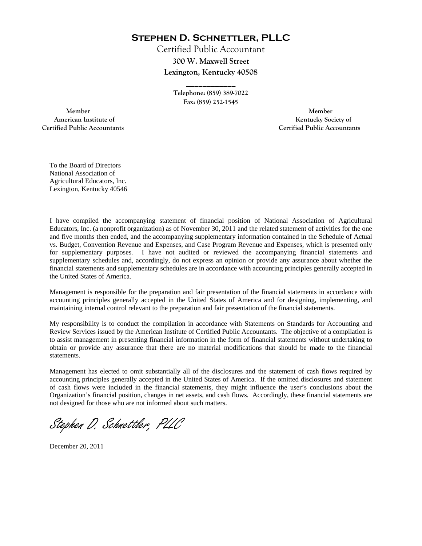**Stephen D. Schnettler, PLLC**

Certified Public Accountant **300 W. Maxwell Street Lexington, Kentucky 40508** 

> **Telephone: (859) 389-7022 Fax: (859) 252-1545**

**\_\_\_\_\_\_\_\_\_\_\_\_** 

 **Member Member Certified Public Accountants Certified Public Accountants** 

American Institute of **Kentucky Society of American Institute of** 

To the Board of Directors National Association of Agricultural Educators, Inc. Lexington, Kentucky 40546

I have compiled the accompanying statement of financial position of National Association of Agricultural Educators, Inc. (a nonprofit organization) as of November 30, 2011 and the related statement of activities for the one and five months then ended, and the accompanying supplementary information contained in the Schedule of Actual vs. Budget, Convention Revenue and Expenses, and Case Program Revenue and Expenses, which is presented only for supplementary purposes. I have not audited or reviewed the accompanying financial statements and supplementary schedules and, accordingly, do not express an opinion or provide any assurance about whether the financial statements and supplementary schedules are in accordance with accounting principles generally accepted in the United States of America.

Management is responsible for the preparation and fair presentation of the financial statements in accordance with accounting principles generally accepted in the United States of America and for designing, implementing, and maintaining internal control relevant to the preparation and fair presentation of the financial statements.

My responsibility is to conduct the compilation in accordance with Statements on Standards for Accounting and Review Services issued by the American Institute of Certified Public Accountants. The objective of a compilation is to assist management in presenting financial information in the form of financial statements without undertaking to obtain or provide any assurance that there are no material modifications that should be made to the financial statements.

Management has elected to omit substantially all of the disclosures and the statement of cash flows required by accounting principles generally accepted in the United States of America. If the omitted disclosures and statement of cash flows were included in the financial statements, they might influence the user's conclusions about the Organization's financial position, changes in net assets, and cash flows. Accordingly, these financial statements are not designed for those who are not informed about such matters.

Stephen D. Schnettler, PLLC

December 20, 2011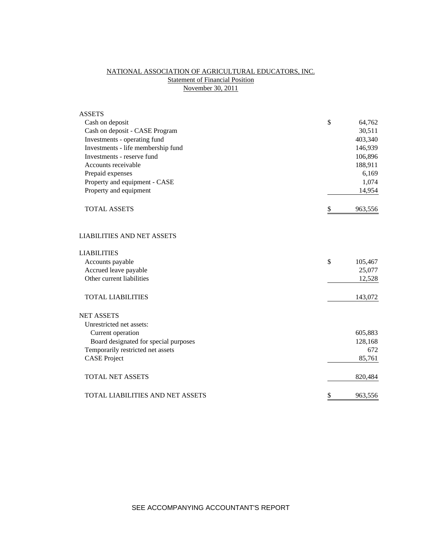# NATIONAL ASSOCIATION OF AGRICULTURAL EDUCATORS, INC. **Statement of Financial Position** November 30, 2011

| <b>ASSETS</b>                           |               |
|-----------------------------------------|---------------|
| Cash on deposit                         | \$<br>64,762  |
| Cash on deposit - CASE Program          | 30,511        |
| Investments - operating fund            | 403,340       |
| Investments - life membership fund      | 146,939       |
| Investments - reserve fund              | 106,896       |
| Accounts receivable                     | 188,911       |
| Prepaid expenses                        | 6,169         |
| Property and equipment - CASE           | 1,074         |
| Property and equipment                  | 14,954        |
| <b>TOTAL ASSETS</b>                     | \$<br>963,556 |
| <b>LIABILITIES AND NET ASSETS</b>       |               |
| <b>LIABILITIES</b>                      |               |
| Accounts payable                        | \$<br>105,467 |
| Accrued leave payable                   | 25,077        |
| Other current liabilities               | 12,528        |
| <b>TOTAL LIABILITIES</b>                | 143,072       |
| <b>NET ASSETS</b>                       |               |
| Unrestricted net assets:                |               |
| Current operation                       | 605,883       |
| Board designated for special purposes   | 128,168       |
| Temporarily restricted net assets       | 672           |
| <b>CASE Project</b>                     | 85,761        |
| <b>TOTAL NET ASSETS</b>                 | 820,484       |
| <b>TOTAL LIABILITIES AND NET ASSETS</b> | \$<br>963,556 |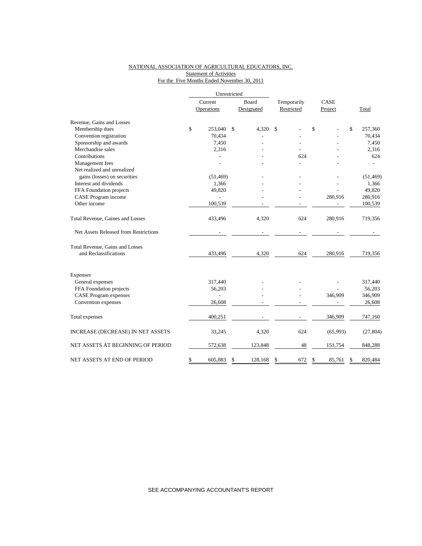### NATIONAL ASSOCIATION OF AGRICULTURAL EDUCATORS, INC. **Statement of Activities** For the Five Months Ended November 30, 2011

|                                       |         | Unrestricted |               |             |    |             |    |           |  |
|---------------------------------------|---------|--------------|---------------|-------------|----|-------------|----|-----------|--|
|                                       | Current |              | Board         | Temporarily |    | <b>CASE</b> |    |           |  |
|                                       |         | Operations   | Designated    | Restricted  |    | Project     |    | Total     |  |
| Revenue, Gains and Losses             |         |              |               |             |    |             |    |           |  |
| Membership dues                       | \$      | 253,040      | \$<br>4,320   | \$          | \$ |             | \$ | 257,360   |  |
| Convention registration               |         | 70,434       |               |             |    |             |    | 70,434    |  |
| Sponsorship and awards                |         | 7,450        |               |             |    |             |    | 7,450     |  |
| Merchandise sales                     |         | 2,316        |               |             |    |             |    | 2,316     |  |
| Contributions                         |         |              |               | 624         |    |             |    | 624       |  |
| Management fees                       |         |              |               |             |    |             |    |           |  |
| Net realized and unrealized           |         |              |               |             |    |             |    |           |  |
| gains (losses) on securities          |         | (51, 469)    |               |             |    |             |    | (51, 469) |  |
| Interest and dividends                |         | 1,366        |               |             |    |             |    | 1,366     |  |
| FFA Foundation projects               |         | 49,820       |               |             |    |             |    | 49,820    |  |
| CASE Program income                   |         |              |               |             |    | 280,916     |    | 280,916   |  |
| Other income                          |         | 100,539      |               |             |    |             |    | 100,539   |  |
| Total Revenue, Gaines and Losses      |         | 433,496      | 4,320         | 624         |    | 280,916     |    | 719,356   |  |
| Net Assets Released from Restrictions |         |              |               |             |    |             |    |           |  |
| Total Revenue, Gains and Losses       |         |              |               |             |    |             |    |           |  |
| and Reclassifications                 |         | 433,496      | 4,320         | 624         |    | 280,916     |    | 719,356   |  |
| Expenses                              |         |              |               |             |    |             |    |           |  |
| General expenses                      |         | 317,440      |               |             |    |             |    | 317,440   |  |
| FFA Foundation projects               |         | 56,203       |               |             |    |             |    | 56,203    |  |
| <b>CASE Program expenses</b>          |         |              |               |             |    | 346,909     |    | 346,909   |  |
| Convention expenses                   |         | 26,608       |               |             |    |             |    | 26,608    |  |
| Total expenses                        |         | 400,251      |               |             |    | 346,909     |    | 747,160   |  |
| INCREASE (DECREASE) IN NET ASSETS     |         | 33,245       | 4,320         | 624         |    | (65,993)    |    | (27, 804) |  |
| NET ASSETS AT BEGINNING OF PERIOD     |         | 572,638      | 123,848       | 48          |    | 151,754     |    | 848,288   |  |
| NET ASSETS AT END OF PERIOD           | \$      | 605,883      | \$<br>128,168 | \$<br>672   | \$ | 85,761      | \$ | 820,484   |  |

SEE ACCOMPANYING ACCOUNTANT'S REPORT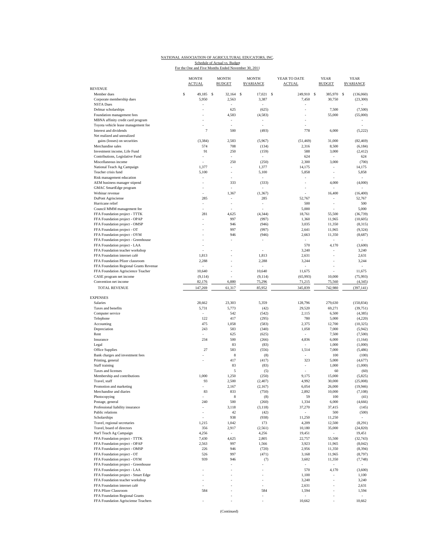## NATIONAL ASSOCIATION OF AGRICULTURAL EDUCATORS, INC. Schedule of Actual vs. Budget<br>For the One and Five Months Ended November 30, 2011

| <b>REVENUE</b>                         | <b>MONTH</b><br><b>ACTUAL</b> |    | <b>MONTH</b><br><b>BUDGET</b> | <b>MONTH</b><br><b>SVARIANCE</b> | YEAR TO DATE<br><b>ACTUAL</b> | <b>YEAR</b><br><b>BUDGET</b> | <b>YEAR</b><br><b><i>SVARIANCE</i></b> |
|----------------------------------------|-------------------------------|----|-------------------------------|----------------------------------|-------------------------------|------------------------------|----------------------------------------|
| Member dues                            | \$<br>49,185                  | -S | 32.164                        | \$<br>17.021                     | \$<br>249,910                 | -S<br>385,970                | S<br>(136,060)                         |
| Corporate membership dues              | 5,950                         |    | 2,563                         | 3,387                            | 7,450                         | 30,750                       | (23, 300)                              |
| <b>NSTA</b> Dues                       |                               |    |                               |                                  |                               |                              |                                        |
| Delmar scholarships                    |                               |    | 625                           | (625)                            |                               | 7,500                        | (7,500)                                |
| Foundation management fees             |                               |    | 4,583                         | (4, 583)                         |                               | 55,000                       | (55,000)                               |
| MBNA affinity credit card program      |                               |    | $\overline{\phantom{a}}$      | ٠                                |                               |                              |                                        |
| Toyota vehicle lease management fee    |                               |    |                               |                                  |                               |                              |                                        |
| Interest and dividends                 | $\tau$                        |    | 500                           | (493)                            | 778                           | 6,000                        | (5,222)                                |
| Net realized and unrealized            |                               |    |                               |                                  |                               |                              |                                        |
| gains (losses) on securities           | (3, 384)                      |    | 2,583                         | (5,967)                          | (51, 469)                     | 31,000                       | (82, 469)                              |
| Merchandise sales                      | 574                           |    | 708                           | (134)                            | 2,316                         | 8,500                        | (6, 184)                               |
| Investment income, Life Fund           | 91                            |    | 250                           | (159)                            | 588                           | 3,000                        | (2, 412)                               |
| Contributions, Legislative Fund        |                               |    |                               |                                  | 624                           | ÷,                           | 624                                    |
| Miscellaneous income                   | ä,                            |    | 250                           | (250)                            | 2,300                         | 3,000                        | (700)                                  |
| National Teach Ag Campaign             | 1,377                         |    |                               | 1,377                            | 14,175                        |                              | 14,175                                 |
| Teacher crisis fund                    | 5,100                         |    | ٠                             | 5,100                            | 5,858                         | ÷                            | 5,858                                  |
| Risk management education              |                               |    |                               | í,                               |                               |                              |                                        |
| AEM business manager stipend           |                               |    | 333                           | (333)                            | ÷,                            | 4,000                        | (4,000)                                |
| GMAC SmartEdge program                 |                               |    |                               |                                  |                               |                              |                                        |
| Webinar revenue                        | í,                            |    | 1,367                         | (1, 367)                         |                               | 16,400                       | (16, 400)                              |
| DuPont Agrisciense                     | 285                           |    |                               | 285                              | 52,767                        | i,                           | 52,767                                 |
| Hurricane relief                       | i,                            |    | ÷,                            | i,                               | 500                           | ł,                           | 500                                    |
| Council MMM management fee             |                               |    |                               |                                  | 5,000                         |                              | 5,000                                  |
| FFA Foundation project - TTTK          | 281                           |    | 4,625                         | (4, 344)                         | 18,761                        | 55,500                       | (36, 739)                              |
| FFA Foundation project - OPAP          | ÷,                            |    | 997                           | (997)                            | 1,360                         | 11,965                       | (10,605)                               |
| FFA Foundation project - OMSP          |                               |    | 946                           | (946)                            | 3,035                         | 11,350                       | (8,315)                                |
| FFA Foundation project - OT            |                               |    | 997                           | (997)                            | 2,641                         | 11,965                       | (9, 324)                               |
| FFA Foundation project - OYM           |                               |    | 946                           | (946)                            | 2,663                         | 11,350                       | (8,687)                                |
| FFA Foundation project - Greenhouse    |                               |    |                               |                                  | $\overline{\phantom{a}}$      | ÷,                           |                                        |
| FFA Foundation project - LAA           |                               |    |                               |                                  | 570                           | 4,170                        | (3,600)                                |
| FFA Foundation teacher workshop        |                               |    |                               |                                  | 3,240                         | ÷,                           | 3,240                                  |
| FFA Foundation internet café           | 1,813                         |    |                               | 1,813                            | 2,631                         |                              | 2,631                                  |
| FFA Foundation Pfizer classroom        | 2,288                         |    |                               | 2,288                            | 3,244                         | ÷,                           | 3,244                                  |
| FFA Foundation Regional Grants Revenue |                               |    |                               |                                  | 11,675                        |                              |                                        |
| FFA Foundation Agriscience Teacher     | 10,640                        |    | ÷                             | 10,640                           |                               | í,                           | 11,675                                 |
| CASE program net income                | (9, 114)                      |    |                               | (9, 114)                         | (65, 993)                     | 10,000                       | (75, 993)                              |
| Convention net income                  | 82,176                        |    | 6,880                         | 75,296                           | 71,215                        | 75,560                       | (4, 345)                               |
| TOTAL REVENUE                          | 147,269                       |    | 61,317                        | 85,952                           | 345,839                       | 742,980                      | (397, 141)                             |
| <b>EXPENSES</b>                        |                               |    |                               |                                  |                               |                              |                                        |
| Salaries                               | 28,662                        |    | 23,303                        | 5,359                            | 128,796                       | 279,630                      | (150, 834)                             |
| Taxes and benefits                     | 5,731                         |    | 5,773                         | (42)                             | 29,520                        | 69,271                       | (39,751)                               |
| Computer service                       | ÷,                            |    | 542                           | (542)                            | 2,115                         | 6,500                        | (4,385)                                |
| Telephone                              | 122                           |    | 417                           | (295)                            | 780                           | 5,000                        | (4,220)                                |
| Accounting                             | 475                           |    | 1,058                         | (583)                            | 2,375                         | 12,700                       | (10, 325)                              |
| Depreciation                           | 243                           |    | 583                           | (340)                            | 1,058                         | 7,000                        | (5,942)                                |
| Rent                                   | ä,                            |    | 625                           | (625)                            | $\sim$                        | 7,500                        | (7,500)                                |
| Insurance                              | 234                           |    | 500                           | (266)                            | 4,836                         | 6,000                        | (1, 164)                               |
| Legal                                  |                               |    | 83                            | (83)                             |                               | 1,000                        | (1,000)                                |
| Office Supplies                        | 27                            |    | 583                           | (556)                            | 1,514                         | 7,000                        | (5, 486)                               |
| Bank charges and investment fees       |                               |    | $\,$ 8 $\,$                   | (8)                              | ÷.                            | 100                          | (100)                                  |
| Printing, general                      |                               |    | 417                           | (417)                            | 323                           | 5,000                        | (4,677)                                |
| Staff training                         |                               |    | 83                            | (83)                             |                               | 1,000                        | (1,000)                                |
| Taxes and licenses                     |                               |    | 5                             | (5)                              |                               | 60                           | (60)                                   |
| Membership and contributions           | 1,000                         |    | 1,250                         | (250)                            | 9,175                         | 15,000                       | (5,825)                                |
| Travel, staff                          | 93                            |    | 2,500                         | (2, 407)                         | 4,992                         | 30,000                       | (25,008)                               |
| Promotion and marketing                |                               |    | 2,167                         | (2,167)                          | 6,054                         | 26,000                       | (19, 946)                              |
| Merchandise and diaries                | 83                            |    | 833                           | (750)                            | 2,892                         | 10,000                       | (7, 108)                               |
| Photocopying                           |                               |    | 8                             | (8)                              | 59                            | 100                          | (41)                                   |
| Postage, general                       | 240                           |    | 500                           | (260)                            | 1,334                         | 6,000                        | (4,666)                                |
| Professional liability insurance       |                               |    | 3,118                         | (3, 118)                         | 37,270                        | 37,415                       | (145)                                  |
| Public relations                       | i,                            |    | 42                            | (42)                             | $\sim$                        | 500                          | (500)                                  |
| Scholarships                           |                               |    | 938                           | (938)                            | 11,250                        | 11,250                       |                                        |
| Travel, regional secretaries           | 1,215                         |    | 1,042                         | 173                              | 4,209                         | 12,500                       | (8,291)                                |
| Travel, board of directors             | 356                           |    | 2,917                         | (2, 561)                         | 10,180                        | 35,000                       | (24, 820)                              |
| Nat'l Teach Ag Campaign                | 4,256                         |    | $\sim$                        | 4,256                            | 19,451                        | $\sim$                       | 19,451                                 |
| FFA Foundation project - TTTK          | 7,430                         |    | 4,625                         | 2,805                            | 22,757                        | 55,500                       | (32, 743)                              |
| FFA Foundation project - OPAP          | 2,563                         |    | 997                           | 1,566                            | 3,923                         | 11,965                       | (8,042)                                |
| FFA Foundation project - OMSP          | 226                           |    | 946                           | (720)                            | 2,956                         | 11,350                       | (8, 394)                               |
| FFA Foundation project - OT            | 526                           |    | 997                           | (471)                            | 3,168                         | 11,965                       | (8,797)                                |
| FFA Foundation project - OYM           | 939                           |    | 946                           | (7)                              | 3,602                         | 11,350                       | (7,748)                                |
| FFA Foundation project - Greenhouse    |                               |    |                               |                                  |                               |                              |                                        |
| FFA Foundation project - LAA           | i,                            |    |                               | ÷,                               | 570                           | 4,170                        | (3,600)                                |
| FFA Foundation project - Smart Edge    |                               |    |                               | ä,                               | 1,100                         | L,                           | 1,100                                  |
| FFA Foundation teacher workshop        | ÷,                            |    |                               | ٠                                | 3,240                         | ÷,                           | 3,240                                  |
| FFA Foundation internet café           |                               |    |                               |                                  | 2,631                         |                              | 2,631                                  |
| FFA Pfizer Classroom                   | 584                           |    |                               | 584                              | 1,594                         | ÷,                           | 1,594                                  |
| FFA Foundation Regional Grants         |                               |    |                               |                                  |                               |                              |                                        |
| FFA Foundation Agrisciense Teachers    |                               |    |                               |                                  | 10,662                        | ÷                            | 10,662                                 |

(Continued)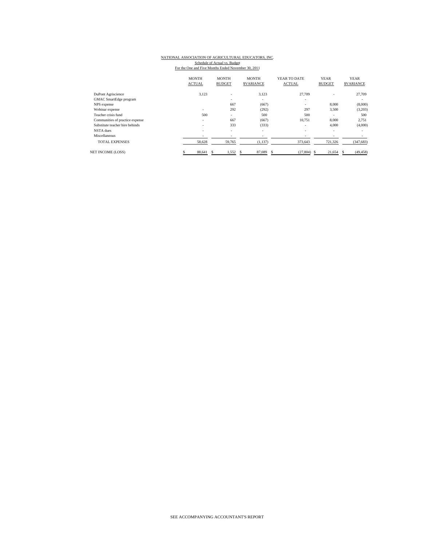## NATIONAL ASSOCIATION OF AGRICULTURAL EDUCATORS, INC. Schedule of Actual vs. Budget<br>For the One and Five Months Ended November 30, 2011

|                                 | <b>MONTH</b><br><b>ACTUAL</b> | <b>MONTH</b><br><b>BUDGET</b> | <b>MONTH</b><br><b>SVARIANCE</b> | YEAR TO DATE<br><b>ACTUAL</b> | <b>YEAR</b><br><b>BUDGET</b> | <b>YEAR</b><br><b>SVARIANCE</b> |
|---------------------------------|-------------------------------|-------------------------------|----------------------------------|-------------------------------|------------------------------|---------------------------------|
| DuPont Agriscience              | 3,123                         | $\overline{\phantom{a}}$      | 3,123                            | 27,709                        |                              | 27,709                          |
| <b>GMAC</b> SmartEdge program   |                               | $\qquad \qquad \blacksquare$  | ٠                                | ۰                             |                              | ٠                               |
| NPS expense                     |                               | 667                           | (667)                            | ٠                             | 8,000                        | (8,000)                         |
| Webinar expense                 | ۰                             | 292                           | (292)                            | 297                           | 3,500                        | (3,203)                         |
| Teacher crisis fund             | 500                           | ٠                             | 500                              | 500                           | $\sim$                       | 500                             |
| Communities of practice expense | $\overline{\phantom{a}}$      | 667                           | (667)                            | 10.751                        | 8,000                        | 2,751                           |
| Substitute teacher hire behinds | $\overline{\phantom{a}}$      | 333                           | (333)                            | ۰                             | 4,000                        | (4,000)                         |
| NSTA dues                       | $\sim$                        | ٠                             | ٠                                | ۰                             | $\overline{\phantom{a}}$     | ٠                               |
| Miscellaneous                   | $\overline{\phantom{a}}$      | $\qquad \qquad \blacksquare$  | ٠                                | ٠                             |                              |                                 |
| <b>TOTAL EXPENSES</b>           | 58,628                        | 59,765                        | (1,137)                          | 373,643                       | 721,326                      | (347, 683)                      |
| <b>NET INCOME (LOSS)</b>        | 88,641                        | 1,552                         | 87,089<br>S                      | $(27,804)$ \$<br>\$.          | 21,654                       | (49, 458)<br>s                  |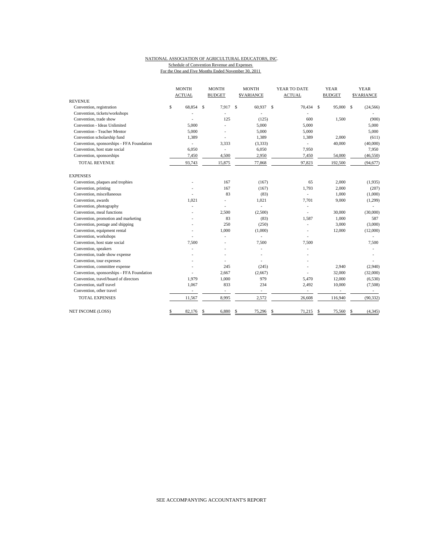#### NATIONAL ASSOCIATION OF AGRICULTURAL EDUCATORS, INC. Schedule of Convention Revenue and Expenses For the One and Five Months Ended November 30, 2011

|                                           | <b>MONTH</b>  |                          | <b>MONTH</b> |                          | <b>MONTH</b> |                  | YEAR TO DATE |                | <b>YEAR</b> |                          | <b>YEAR</b> |                  |
|-------------------------------------------|---------------|--------------------------|--------------|--------------------------|--------------|------------------|--------------|----------------|-------------|--------------------------|-------------|------------------|
|                                           | <b>ACTUAL</b> |                          |              | <b>BUDGET</b>            |              | <b>SVARIANCE</b> |              | <b>ACTUAL</b>  |             | <b>BUDGET</b>            |             | <b>SVARIANCE</b> |
| <b>REVENUE</b>                            |               |                          |              |                          |              |                  |              |                |             |                          |             |                  |
| Convention, registration                  | \$            | 68,854                   | -S           | 7.917                    | $\mathbf{s}$ | 60,937           | $\mathbf{s}$ | 70,434 \$      |             | 95,000 \$                |             | (24, 566)        |
| Convention, tickets/workshops             |               |                          |              |                          |              | L.               |              |                |             |                          |             |                  |
| Convention, trade show                    |               |                          |              | 125                      |              | (125)            |              | 600            |             | 1,500                    |             | (900)            |
| Convention - Ideas Unlimited              |               | 5.000                    |              |                          |              | 5,000            |              | 5,000          |             |                          |             | 5.000            |
| Convention - Teacher Mentor               |               | 5,000                    |              |                          |              | 5,000            |              | 5,000          |             |                          |             | 5,000            |
| Convention scholarship fund               |               | 1,389                    |              |                          |              | 1,389            |              | 1,389          |             | 2,000                    |             | (611)            |
| Convention, sponsorships - FFA Foundation |               | $\overline{\phantom{a}}$ |              | 3,333                    |              | (3,333)          |              | $\overline{a}$ |             | 40,000                   |             | (40,000)         |
| Convention, host state social             |               | 6,050                    |              | $\overline{\phantom{a}}$ |              | 6,050            |              | 7,950          |             |                          |             | 7,950            |
| Convention, sponsorships                  |               | 7,450                    |              | 4,500                    |              | 2,950            |              | 7,450          |             | 54,000                   |             | (46, 550)        |
| <b>TOTAL REVENUE</b>                      |               | 93,743                   |              | 15,875                   |              | 77,868           |              | 97,823         |             | 192,500                  |             | (94, 677)        |
| <b>EXPENSES</b>                           |               |                          |              |                          |              |                  |              |                |             |                          |             |                  |
| Convention, plaques and trophies          |               |                          |              | 167                      |              | (167)            |              | 65             |             | 2,000                    |             | (1,935)          |
| Convention, printing                      |               |                          |              | 167                      |              | (167)            |              | 1,793          |             | 2,000                    |             | (207)            |
| Convention, miscellaneous                 |               |                          |              | 83                       |              | (83)             |              | ٠              |             | 1,000                    |             | (1,000)          |
| Convention, awards                        |               | 1,021                    |              | ٠                        |              | 1,021            |              | 7,701          |             | 9,000                    |             | (1, 299)         |
| Convention, photography                   |               |                          |              |                          |              | $\overline{a}$   |              |                |             |                          |             |                  |
| Convention, meal functions                |               |                          |              | 2,500                    |              | (2,500)          |              |                |             | 30,000                   |             | (30,000)         |
| Convention, promotion and marketing       |               |                          |              | 83                       |              | (83)             |              | 1,587          |             | 1,000                    |             | 587              |
| Convention, postage and shipping          |               |                          |              | 250                      |              | (250)            |              |                |             | 3,000                    |             | (3,000)          |
| Convention, equipment rental              |               |                          |              | 1,000                    |              | (1,000)          |              |                |             | 12,000                   |             | (12,000)         |
| Convention, workshops                     |               |                          |              |                          |              | L.               |              |                |             |                          |             |                  |
| Convention, host state social             |               | 7,500                    |              |                          |              | 7,500            |              | 7,500          |             |                          |             | 7,500            |
| Convention, speakers                      |               |                          |              |                          |              | $\overline{a}$   |              |                |             |                          |             |                  |
| Convention, trade show expense            |               |                          |              |                          |              |                  |              |                |             |                          |             |                  |
| Convention, tour expenses                 |               |                          |              |                          |              |                  |              |                |             |                          |             |                  |
| Convention, committee expense             |               |                          |              | 245                      |              | (245)            |              |                |             | 2,940                    |             | (2,940)          |
| Convention, sponsorships - FFA Foundation |               |                          |              | 2,667                    |              | (2,667)          |              |                |             | 32,000                   |             | (32,000)         |
| Convention, travel/board of directors     |               | 1,979                    |              | 1,000                    |              | 979              |              | 5,470          |             | 12,000                   |             | (6, 530)         |
| Convention, staff travel                  |               | 1,067                    |              | 833                      |              | 234              |              | 2,492          |             | 10,000                   |             | (7,508)          |
| Convention, other travel                  |               | $\overline{\phantom{a}}$ |              | $\overline{\phantom{a}}$ |              | ÷,               |              | ٠              |             | $\overline{\phantom{a}}$ |             |                  |
| <b>TOTAL EXPENSES</b>                     |               | 11,567                   |              | 8,995                    |              | 2,572            |              | 26,608         |             | 116,940                  |             | (90, 332)        |
| NET INCOME (LOSS)                         | \$            | 82,176                   | \$           | 6,880                    | \$           | 75,296           | \$           | 71,215         | \$          | 75,560                   | \$          | (4, 345)         |